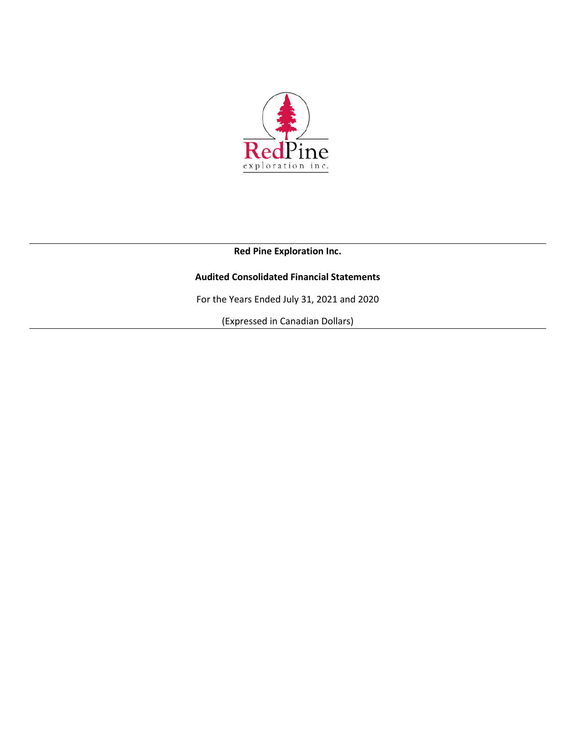

**Red Pine Exploration Inc.** 

## **Audited Consolidated Financial Statements**

For the Years Ended July 31, 2021 and 2020

(Expressed in Canadian Dollars)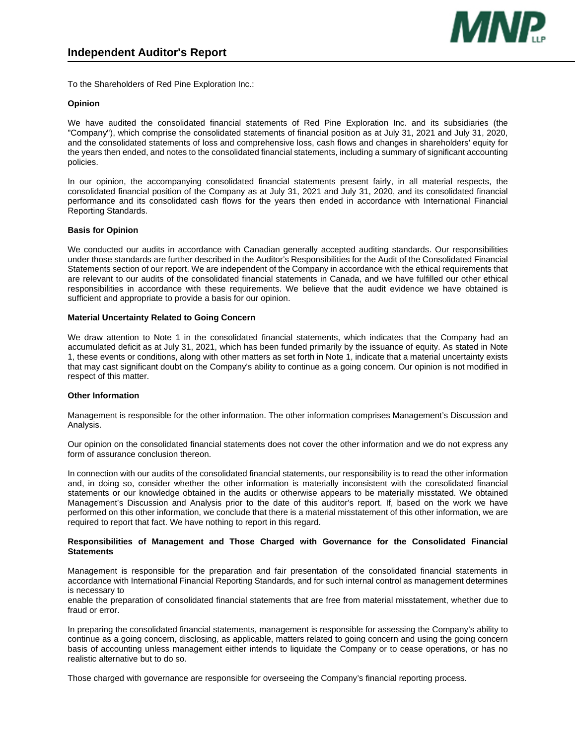To the Shareholders of Red Pine Exploration Inc.:

#### **Opinion**

We have audited the consolidated financial statements of Red Pine Exploration Inc. and its subsidiaries (the "Company"), which comprise the consolidated statements of financial position as at July 31, 2021 and July 31, 2020, and the consolidated statements of loss and comprehensive loss, cash flows and changes in shareholders' equity for the years then ended, and notes to the consolidated financial statements, including a summary of significant accounting policies.

In our opinion, the accompanying consolidated financial statements present fairly, in all material respects, the consolidated financial position of the Company as at July 31, 2021 and July 31, 2020, and its consolidated financial performance and its consolidated cash flows for the years then ended in accordance with International Financial Reporting Standards.

#### **Basis for Opinion**

We conducted our audits in accordance with Canadian generally accepted auditing standards. Our responsibilities under those standards are further described in the Auditor's Responsibilities for the Audit of the Consolidated Financial Statements section of our report. We are independent of the Company in accordance with the ethical requirements that are relevant to our audits of the consolidated financial statements in Canada, and we have fulfilled our other ethical responsibilities in accordance with these requirements. We believe that the audit evidence we have obtained is sufficient and appropriate to provide a basis for our opinion.

#### **Material Uncertainty Related to Going Concern**

We draw attention to Note 1 in the consolidated financial statements, which indicates that the Company had an accumulated deficit as at July 31, 2021, which has been funded primarily by the issuance of equity. As stated in Note 1, these events or conditions, along with other matters as set forth in Note 1, indicate that a material uncertainty exists that may cast significant doubt on the Company's ability to continue as a going concern. Our opinion is not modified in respect of this matter.

#### **Other Information**

Management is responsible for the other information. The other information comprises Management's Discussion and Analysis.

Our opinion on the consolidated financial statements does not cover the other information and we do not express any form of assurance conclusion thereon.

In connection with our audits of the consolidated financial statements, our responsibility is to read the other information and, in doing so, consider whether the other information is materially inconsistent with the consolidated financial statements or our knowledge obtained in the audits or otherwise appears to be materially misstated. We obtained Management's Discussion and Analysis prior to the date of this auditor's report. If, based on the work we have performed on this other information, we conclude that there is a material misstatement of this other information, we are required to report that fact. We have nothing to report in this regard.

#### **Responsibilities of Management and Those Charged with Governance for the Consolidated Financial Statements**

Management is responsible for the preparation and fair presentation of the consolidated financial statements in accordance with International Financial Reporting Standards, and for such internal control as management determines is necessary to

enable the preparation of consolidated financial statements that are free from material misstatement, whether due to fraud or error.

In preparing the consolidated financial statements, management is responsible for assessing the Company's ability to continue as a going concern, disclosing, as applicable, matters related to going concern and using the going concern basis of accounting unless management either intends to liquidate the Company or to cease operations, or has no realistic alternative but to do so.

Those charged with governance are responsible for overseeing the Company's financial reporting process.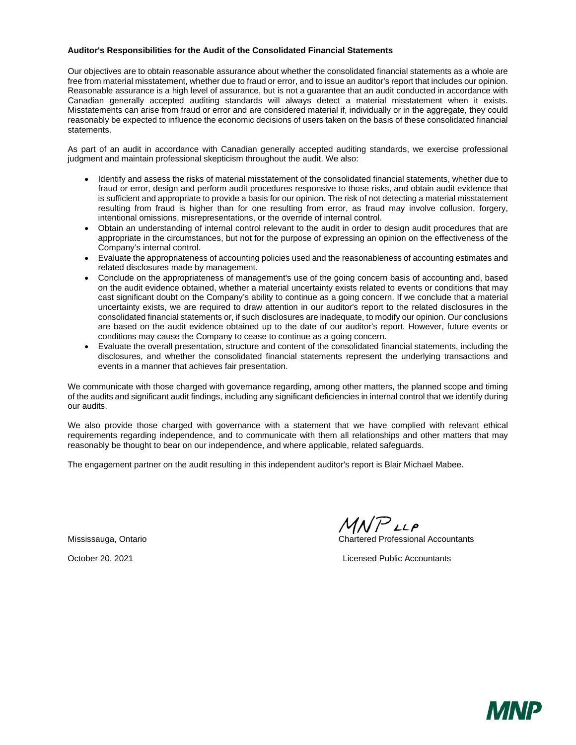#### **Auditor's Responsibilities for the Audit of the Consolidated Financial Statements**

Our objectives are to obtain reasonable assurance about whether the consolidated financial statements as a whole are free from material misstatement, whether due to fraud or error, and to issue an auditor's report that includes our opinion. Reasonable assurance is a high level of assurance, but is not a guarantee that an audit conducted in accordance with Canadian generally accepted auditing standards will always detect a material misstatement when it exists. Misstatements can arise from fraud or error and are considered material if, individually or in the aggregate, they could reasonably be expected to influence the economic decisions of users taken on the basis of these consolidated financial statements.

As part of an audit in accordance with Canadian generally accepted auditing standards, we exercise professional judgment and maintain professional skepticism throughout the audit. We also:

- Identify and assess the risks of material misstatement of the consolidated financial statements, whether due to fraud or error, design and perform audit procedures responsive to those risks, and obtain audit evidence that is sufficient and appropriate to provide a basis for our opinion. The risk of not detecting a material misstatement resulting from fraud is higher than for one resulting from error, as fraud may involve collusion, forgery, intentional omissions, misrepresentations, or the override of internal control.
- Obtain an understanding of internal control relevant to the audit in order to design audit procedures that are appropriate in the circumstances, but not for the purpose of expressing an opinion on the effectiveness of the Company's internal control.
- Evaluate the appropriateness of accounting policies used and the reasonableness of accounting estimates and related disclosures made by management.
- Conclude on the appropriateness of management's use of the going concern basis of accounting and, based on the audit evidence obtained, whether a material uncertainty exists related to events or conditions that may cast significant doubt on the Company's ability to continue as a going concern. If we conclude that a material uncertainty exists, we are required to draw attention in our auditor's report to the related disclosures in the consolidated financial statements or, if such disclosures are inadequate, to modify our opinion. Our conclusions are based on the audit evidence obtained up to the date of our auditor's report. However, future events or conditions may cause the Company to cease to continue as a going concern.
- Evaluate the overall presentation, structure and content of the consolidated financial statements, including the disclosures, and whether the consolidated financial statements represent the underlying transactions and events in a manner that achieves fair presentation.

We communicate with those charged with governance regarding, among other matters, the planned scope and timing of the audits and significant audit findings, including any significant deficiencies in internal control that we identify during our audits.

We also provide those charged with governance with a statement that we have complied with relevant ethical requirements regarding independence, and to communicate with them all relationships and other matters that may reasonably be thought to bear on our independence, and where applicable, related safeguards.

The engagement partner on the audit resulting in this independent auditor's report is Blair Michael Mabee.

 $M$  $\Lambda$ / $P$ <sub> $LL$ </sub> $\rho$ Mississauga, Ontario Chartered Professional Accountants

October 20, 2021 Licensed Public Accountants

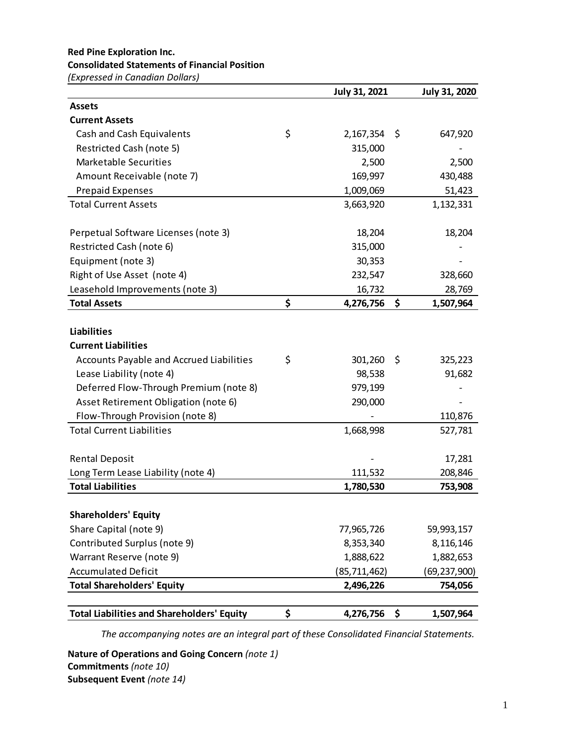## **Red Pine Exploration Inc. Consolidated Statements of Financial Position**

*(Expressed in Canadian Dollars)*

|                                                   | <b>July 31, 2021</b> | <b>July 31, 2020</b> |
|---------------------------------------------------|----------------------|----------------------|
| <b>Assets</b>                                     |                      |                      |
| <b>Current Assets</b>                             |                      |                      |
| Cash and Cash Equivalents                         | \$<br>2,167,354      | \$<br>647,920        |
| Restricted Cash (note 5)                          | 315,000              |                      |
| <b>Marketable Securities</b>                      | 2,500                | 2,500                |
| Amount Receivable (note 7)                        | 169,997              | 430,488              |
| <b>Prepaid Expenses</b>                           | 1,009,069            | 51,423               |
| <b>Total Current Assets</b>                       | 3,663,920            | 1,132,331            |
| Perpetual Software Licenses (note 3)              | 18,204               | 18,204               |
| Restricted Cash (note 6)                          | 315,000              |                      |
| Equipment (note 3)                                | 30,353               |                      |
| Right of Use Asset (note 4)                       | 232,547              | 328,660              |
| Leasehold Improvements (note 3)                   | 16,732               | 28,769               |
| <b>Total Assets</b>                               | \$<br>4,276,756      | \$<br>1,507,964      |
|                                                   |                      |                      |
| <b>Liabilities</b>                                |                      |                      |
| <b>Current Liabilities</b>                        |                      |                      |
| <b>Accounts Payable and Accrued Liabilities</b>   | \$<br>301,260        | \$<br>325,223        |
| Lease Liability (note 4)                          | 98,538               | 91,682               |
| Deferred Flow-Through Premium (note 8)            | 979,199              |                      |
| Asset Retirement Obligation (note 6)              | 290,000              |                      |
| Flow-Through Provision (note 8)                   |                      | 110,876              |
| <b>Total Current Liabilities</b>                  | 1,668,998            | 527,781              |
| <b>Rental Deposit</b>                             |                      | 17,281               |
| Long Term Lease Liability (note 4)                | 111,532              | 208,846              |
| <b>Total Liabilities</b>                          | 1,780,530            | 753,908              |
|                                                   |                      |                      |
| <b>Shareholders' Equity</b>                       |                      |                      |
| Share Capital (note 9)                            | 77,965,726           | 59,993,157           |
| Contributed Surplus (note 9)                      | 8,353,340            | 8,116,146            |
| Warrant Reserve (note 9)                          | 1,888,622            | 1,882,653            |
| <b>Accumulated Deficit</b>                        | (85, 711, 462)       | (69, 237, 900)       |
| <b>Total Shareholders' Equity</b>                 | 2,496,226            | 754,056              |
|                                                   |                      |                      |
| <b>Total Liabilities and Shareholders' Equity</b> | \$<br>4,276,756      | \$<br>1,507,964      |

*The accompanying notes are an integral part of these Consolidated Financial Statements.*

**Nature of Operations and Going Concern** *(note 1)*  **Commitments** *(note 10)*  **Subsequent Event** *(note 14)*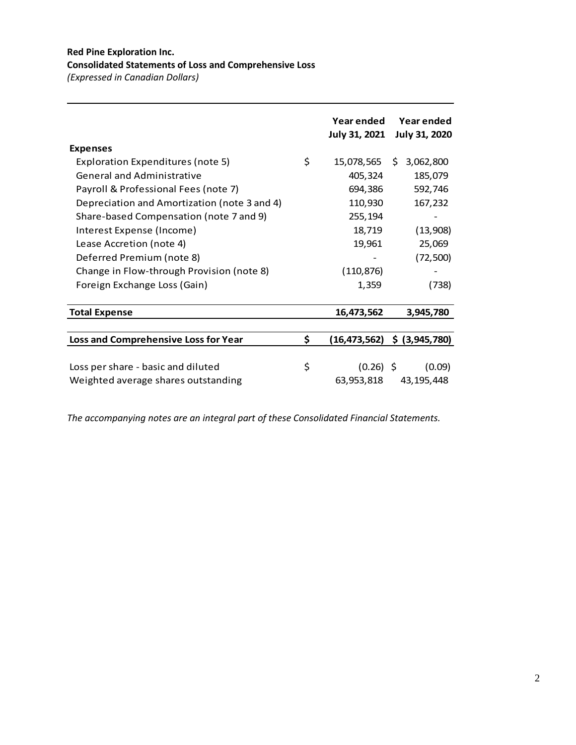# **Red Pine Exploration Inc. Consolidated Statements of Loss and Comprehensive Loss**

*(Expressed in Canadian Dollars)* 

| <b>Expenses</b>                              | Year ended<br>July 31, 2021 | Year ended<br><b>July 31, 2020</b> |
|----------------------------------------------|-----------------------------|------------------------------------|
|                                              | \$<br>15,078,565            | 3,062,800<br>\$                    |
| <b>Exploration Expenditures (note 5)</b>     |                             |                                    |
| <b>General and Administrative</b>            | 405,324                     | 185,079                            |
| Payroll & Professional Fees (note 7)         | 694,386                     | 592,746                            |
| Depreciation and Amortization (note 3 and 4) | 110,930                     | 167,232                            |
| Share-based Compensation (note 7 and 9)      | 255,194                     |                                    |
| Interest Expense (Income)                    | 18,719                      | (13,908)                           |
| Lease Accretion (note 4)                     | 19,961                      | 25,069                             |
| Deferred Premium (note 8)                    |                             | (72, 500)                          |
| Change in Flow-through Provision (note 8)    | (110, 876)                  |                                    |
| Foreign Exchange Loss (Gain)                 | 1,359                       | (738)                              |
| <b>Total Expense</b>                         | 16,473,562                  | 3,945,780                          |
|                                              |                             |                                    |
| Loss and Comprehensive Loss for Year         | \$<br>(16,473,562)          | \$ (3,945,780)                     |
|                                              |                             |                                    |
| Loss per share - basic and diluted           | \$<br>$(0.26)$ \$           | (0.09)                             |
| Weighted average shares outstanding          | 63,953,818                  | 43, 195, 448                       |

*The accompanying notes are an integral part of these Consolidated Financial Statements.*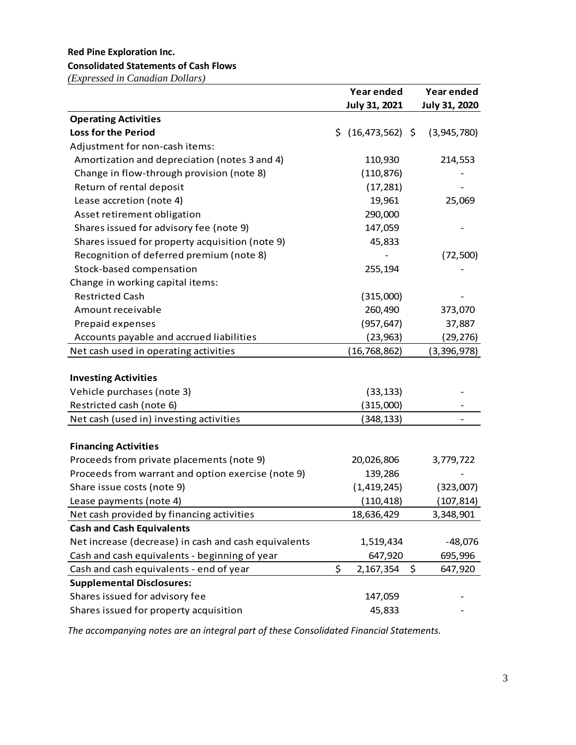## **Red Pine Exploration Inc.**

## **Consolidated Statements of Cash Flows**

*(Expressed in Canadian Dollars)*

|                                                      | Year ended |                      | Year ended           |
|------------------------------------------------------|------------|----------------------|----------------------|
|                                                      |            | <b>July 31, 2021</b> | <b>July 31, 2020</b> |
| <b>Operating Activities</b>                          |            |                      |                      |
| <b>Loss for the Period</b>                           | \$         | $(16, 473, 562)$ \$  | (3,945,780)          |
| Adjustment for non-cash items:                       |            |                      |                      |
| Amortization and depreciation (notes 3 and 4)        |            | 110,930              | 214,553              |
| Change in flow-through provision (note 8)            |            | (110, 876)           |                      |
| Return of rental deposit                             |            | (17, 281)            |                      |
| Lease accretion (note 4)                             |            | 19,961               | 25,069               |
| Asset retirement obligation                          |            | 290,000              |                      |
| Shares issued for advisory fee (note 9)              |            | 147,059              |                      |
| Shares issued for property acquisition (note 9)      |            | 45,833               |                      |
| Recognition of deferred premium (note 8)             |            |                      | (72, 500)            |
| Stock-based compensation                             |            | 255,194              |                      |
| Change in working capital items:                     |            |                      |                      |
| <b>Restricted Cash</b>                               |            | (315,000)            |                      |
| Amount receivable                                    |            | 260,490              | 373,070              |
| Prepaid expenses                                     |            | (957, 647)           | 37,887               |
| Accounts payable and accrued liabilities             |            | (23, 963)            | (29, 276)            |
| Net cash used in operating activities                |            | (16, 768, 862)       | (3,396,978)          |
|                                                      |            |                      |                      |
| <b>Investing Activities</b>                          |            |                      |                      |
| Vehicle purchases (note 3)                           |            | (33, 133)            |                      |
| Restricted cash (note 6)                             |            | (315,000)            |                      |
| Net cash (used in) investing activities              |            | (348, 133)           |                      |
|                                                      |            |                      |                      |
| <b>Financing Activities</b>                          |            |                      |                      |
| Proceeds from private placements (note 9)            |            | 20,026,806           | 3,779,722            |
| Proceeds from warrant and option exercise (note 9)   |            | 139,286              |                      |
| Share issue costs (note 9)                           |            | (1,419,245)          | (323,007)            |
| Lease payments (note 4)                              |            | (110, 418)           | (107, 814)           |
| Net cash provided by financing activities            |            | 18,636,429           | 3,348,901            |
| <b>Cash and Cash Equivalents</b>                     |            |                      |                      |
| Net increase (decrease) in cash and cash equivalents |            | 1,519,434            | $-48,076$            |
| Cash and cash equivalents - beginning of year        |            | 647,920              | 695,996              |
| Cash and cash equivalents - end of year              | \$         | 2,167,354            | \$<br>647,920        |
| <b>Supplemental Disclosures:</b>                     |            |                      |                      |
| Shares issued for advisory fee                       |            | 147,059              |                      |
| Shares issued for property acquisition               |            | 45,833               |                      |

*The accompanying notes are an integral part of these Consolidated Financial Statements.*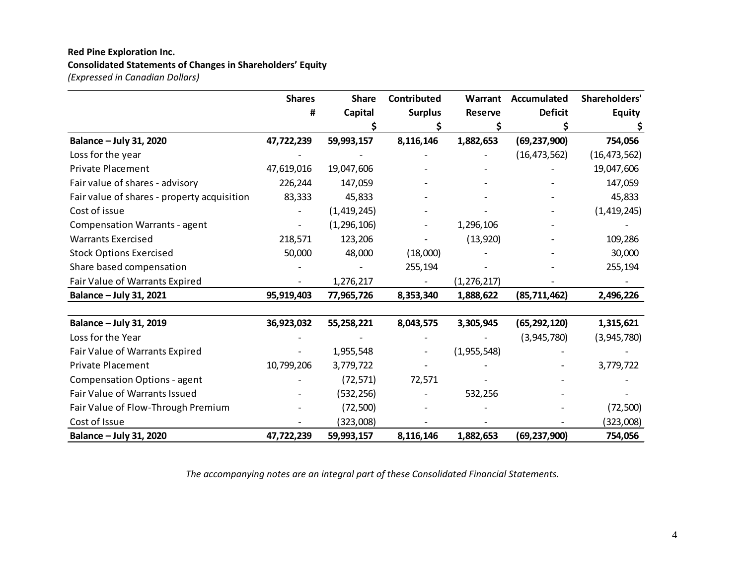## **Red Pine Exploration Inc. Consolidated Statements of Changes in Shareholders' Equity**  *(Expressed in Canadian Dollars)*

|                                             | <b>Shares</b> | <b>Share</b>  | Contributed    | Warrant        | Accumulated    | Shareholders'  |
|---------------------------------------------|---------------|---------------|----------------|----------------|----------------|----------------|
|                                             | #             | Capital       | <b>Surplus</b> | <b>Reserve</b> | <b>Deficit</b> | <b>Equity</b>  |
|                                             |               |               |                |                |                |                |
| Balance - July 31, 2020                     | 47,722,239    | 59,993,157    | 8,116,146      | 1,882,653      | (69, 237, 900) | 754,056        |
| Loss for the year                           |               |               |                |                | (16, 473, 562) | (16, 473, 562) |
| <b>Private Placement</b>                    | 47,619,016    | 19,047,606    |                |                |                | 19,047,606     |
| Fair value of shares - advisory             | 226,244       | 147,059       |                |                |                | 147,059        |
| Fair value of shares - property acquisition | 83,333        | 45,833        |                |                |                | 45,833         |
| Cost of issue                               |               | (1, 419, 245) |                |                |                | (1,419,245)    |
| <b>Compensation Warrants - agent</b>        |               | (1, 296, 106) |                | 1,296,106      |                |                |
| <b>Warrants Exercised</b>                   | 218,571       | 123,206       |                | (13,920)       |                | 109,286        |
| <b>Stock Options Exercised</b>              | 50,000        | 48,000        | (18,000)       |                |                | 30,000         |
| Share based compensation                    |               |               | 255,194        |                |                | 255,194        |
| Fair Value of Warrants Expired              |               | 1,276,217     |                | (1, 276, 217)  |                |                |
| Balance - July 31, 2021                     | 95,919,403    | 77,965,726    | 8,353,340      | 1,888,622      | (85, 711, 462) | 2,496,226      |
|                                             |               |               |                |                |                |                |
| Balance - July 31, 2019                     | 36,923,032    | 55,258,221    | 8,043,575      | 3,305,945      | (65, 292, 120) | 1,315,621      |
| Loss for the Year                           |               |               |                |                | (3,945,780)    | (3,945,780)    |
| Fair Value of Warrants Expired              |               | 1,955,548     |                | (1, 955, 548)  |                |                |
| <b>Private Placement</b>                    | 10,799,206    | 3,779,722     |                |                |                | 3,779,722      |
| <b>Compensation Options - agent</b>         |               | (72, 571)     | 72,571         |                |                |                |
| Fair Value of Warrants Issued               |               | (532, 256)    |                | 532,256        |                |                |
| Fair Value of Flow-Through Premium          |               | (72, 500)     |                |                |                | (72, 500)      |
| Cost of Issue                               |               | (323,008)     |                |                |                | (323,008)      |
| Balance - July 31, 2020                     | 47,722,239    | 59,993,157    | 8,116,146      | 1,882,653      | (69, 237, 900) | 754,056        |

*The accompanying notes are an integral part of these Consolidated Financial Statements.*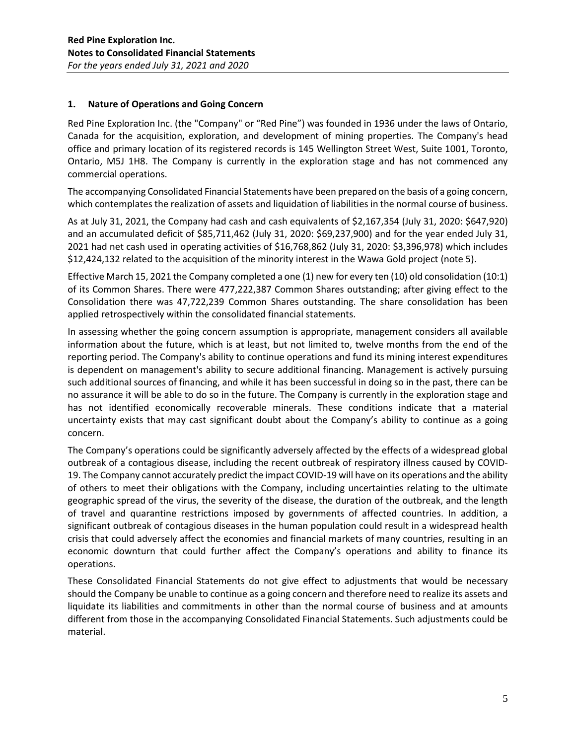## **1. Nature of Operations and Going Concern**

Red Pine Exploration Inc. (the "Company" or "Red Pine") was founded in 1936 under the laws of Ontario, Canada for the acquisition, exploration, and development of mining properties. The Company's head office and primary location of its registered records is 145 Wellington Street West, Suite 1001, Toronto, Ontario, M5J 1H8. The Company is currently in the exploration stage and has not commenced any commercial operations.

The accompanying Consolidated Financial Statements have been prepared on the basis of a going concern, which contemplates the realization of assets and liquidation of liabilities in the normal course of business.

As at July 31, 2021, the Company had cash and cash equivalents of \$2,167,354 (July 31, 2020: \$647,920) and an accumulated deficit of \$85,711,462 (July 31, 2020: \$69,237,900) and for the year ended July 31, 2021 had net cash used in operating activities of \$16,768,862 (July 31, 2020: \$3,396,978) which includes \$12,424,132 related to the acquisition of the minority interest in the Wawa Gold project (note 5).

Effective March 15, 2021 the Company completed a one (1) new for every ten (10) old consolidation (10:1) of its Common Shares. There were 477,222,387 Common Shares outstanding; after giving effect to the Consolidation there was 47,722,239 Common Shares outstanding. The share consolidation has been applied retrospectively within the consolidated financial statements.

In assessing whether the going concern assumption is appropriate, management considers all available information about the future, which is at least, but not limited to, twelve months from the end of the reporting period. The Company's ability to continue operations and fund its mining interest expenditures is dependent on management's ability to secure additional financing. Management is actively pursuing such additional sources of financing, and while it has been successful in doing so in the past, there can be no assurance it will be able to do so in the future. The Company is currently in the exploration stage and has not identified economically recoverable minerals. These conditions indicate that a material uncertainty exists that may cast significant doubt about the Company's ability to continue as a going concern.

The Company's operations could be significantly adversely affected by the effects of a widespread global outbreak of a contagious disease, including the recent outbreak of respiratory illness caused by COVID-19. The Company cannot accurately predict the impact COVID-19 will have on its operations and the ability of others to meet their obligations with the Company, including uncertainties relating to the ultimate geographic spread of the virus, the severity of the disease, the duration of the outbreak, and the length of travel and quarantine restrictions imposed by governments of affected countries. In addition, a significant outbreak of contagious diseases in the human population could result in a widespread health crisis that could adversely affect the economies and financial markets of many countries, resulting in an economic downturn that could further affect the Company's operations and ability to finance its operations.

These Consolidated Financial Statements do not give effect to adjustments that would be necessary should the Company be unable to continue as a going concern and therefore need to realize its assets and liquidate its liabilities and commitments in other than the normal course of business and at amounts different from those in the accompanying Consolidated Financial Statements. Such adjustments could be material.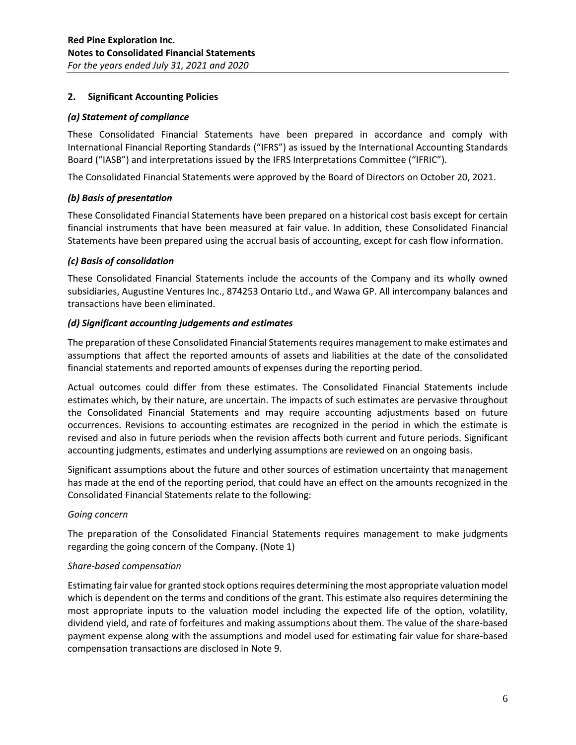## **2. Significant Accounting Policies**

## *(a) Statement of compliance*

These Consolidated Financial Statements have been prepared in accordance and comply with International Financial Reporting Standards ("IFRS") as issued by the International Accounting Standards Board ("IASB") and interpretations issued by the IFRS Interpretations Committee ("IFRIC").

The Consolidated Financial Statements were approved by the Board of Directors on October 20, 2021.

## *(b) Basis of presentation*

These Consolidated Financial Statements have been prepared on a historical cost basis except for certain financial instruments that have been measured at fair value. In addition, these Consolidated Financial Statements have been prepared using the accrual basis of accounting, except for cash flow information.

## *(c) Basis of consolidation*

These Consolidated Financial Statements include the accounts of the Company and its wholly owned subsidiaries, Augustine Ventures Inc., 874253 Ontario Ltd., and Wawa GP. All intercompany balances and transactions have been eliminated.

## *(d) Significant accounting judgements and estimates*

The preparation of these Consolidated Financial Statements requires management to make estimates and assumptions that affect the reported amounts of assets and liabilities at the date of the consolidated financial statements and reported amounts of expenses during the reporting period.

Actual outcomes could differ from these estimates. The Consolidated Financial Statements include estimates which, by their nature, are uncertain. The impacts of such estimates are pervasive throughout the Consolidated Financial Statements and may require accounting adjustments based on future occurrences. Revisions to accounting estimates are recognized in the period in which the estimate is revised and also in future periods when the revision affects both current and future periods. Significant accounting judgments, estimates and underlying assumptions are reviewed on an ongoing basis.

Significant assumptions about the future and other sources of estimation uncertainty that management has made at the end of the reporting period, that could have an effect on the amounts recognized in the Consolidated Financial Statements relate to the following:

## *Going concern*

The preparation of the Consolidated Financial Statements requires management to make judgments regarding the going concern of the Company. (Note 1)

## *Share-based compensation*

Estimating fair value for granted stock options requires determining the most appropriate valuation model which is dependent on the terms and conditions of the grant. This estimate also requires determining the most appropriate inputs to the valuation model including the expected life of the option, volatility, dividend yield, and rate of forfeitures and making assumptions about them. The value of the share-based payment expense along with the assumptions and model used for estimating fair value for share-based compensation transactions are disclosed in Note 9.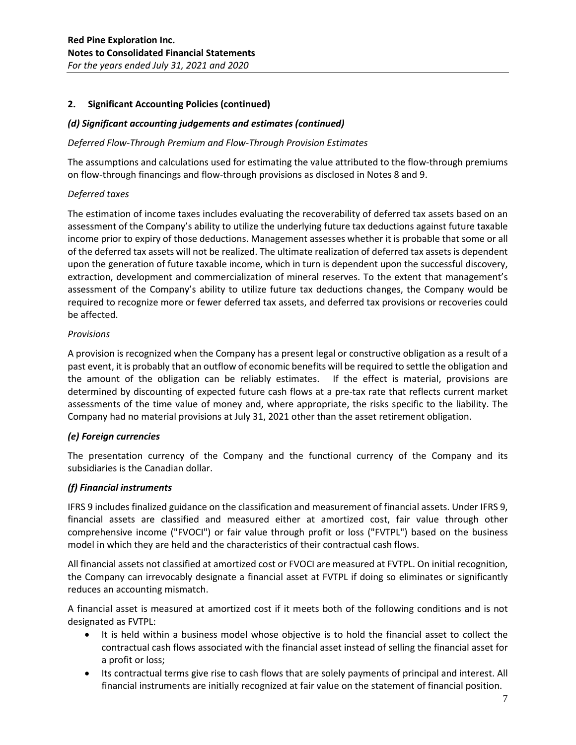## *(d) Significant accounting judgements and estimates (continued)*

#### *Deferred Flow-Through Premium and Flow-Through Provision Estimates*

The assumptions and calculations used for estimating the value attributed to the flow-through premiums on flow-through financings and flow-through provisions as disclosed in Notes 8 and 9.

## *Deferred taxes*

The estimation of income taxes includes evaluating the recoverability of deferred tax assets based on an assessment of the Company's ability to utilize the underlying future tax deductions against future taxable income prior to expiry of those deductions. Management assesses whether it is probable that some or all of the deferred tax assets will not be realized. The ultimate realization of deferred tax assets is dependent upon the generation of future taxable income, which in turn is dependent upon the successful discovery, extraction, development and commercialization of mineral reserves. To the extent that management's assessment of the Company's ability to utilize future tax deductions changes, the Company would be required to recognize more or fewer deferred tax assets, and deferred tax provisions or recoveries could be affected.

#### *Provisions*

A provision is recognized when the Company has a present legal or constructive obligation as a result of a past event, it is probably that an outflow of economic benefits will be required to settle the obligation and the amount of the obligation can be reliably estimates. If the effect is material, provisions are determined by discounting of expected future cash flows at a pre-tax rate that reflects current market assessments of the time value of money and, where appropriate, the risks specific to the liability. The Company had no material provisions at July 31, 2021 other than the asset retirement obligation.

## *(e) Foreign currencies*

The presentation currency of the Company and the functional currency of the Company and its subsidiaries is the Canadian dollar.

## *(f) Financial instruments*

IFRS 9 includes finalized guidance on the classification and measurement of financial assets. Under IFRS 9, financial assets are classified and measured either at amortized cost, fair value through other comprehensive income ("FVOCI") or fair value through profit or loss ("FVTPL") based on the business model in which they are held and the characteristics of their contractual cash flows.

All financial assets not classified at amortized cost or FVOCI are measured at FVTPL. On initial recognition, the Company can irrevocably designate a financial asset at FVTPL if doing so eliminates or significantly reduces an accounting mismatch.

A financial asset is measured at amortized cost if it meets both of the following conditions and is not designated as FVTPL:

- It is held within a business model whose objective is to hold the financial asset to collect the contractual cash flows associated with the financial asset instead of selling the financial asset for a profit or loss;
- Its contractual terms give rise to cash flows that are solely payments of principal and interest. All financial instruments are initially recognized at fair value on the statement of financial position.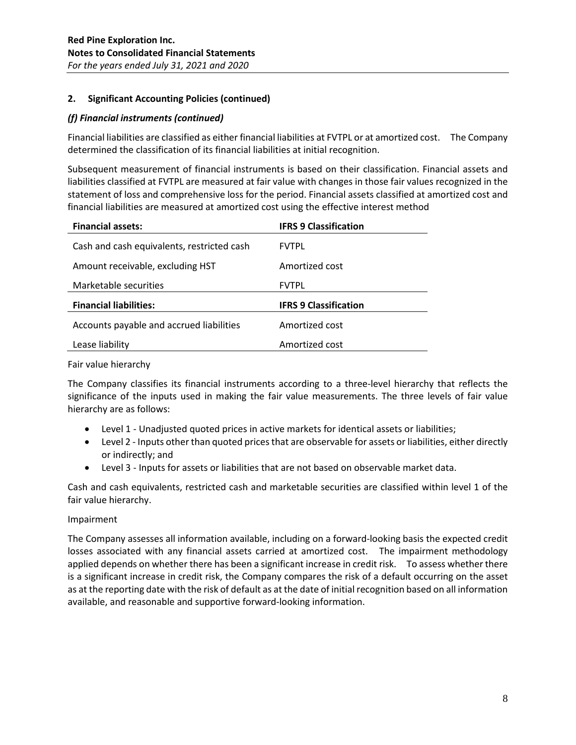## *(f) Financial instruments (continued)*

Financial liabilities are classified as either financial liabilities at FVTPL or at amortized cost. The Company determined the classification of its financial liabilities at initial recognition.

Subsequent measurement of financial instruments is based on their classification. Financial assets and liabilities classified at FVTPL are measured at fair value with changes in those fair values recognized in the statement of loss and comprehensive loss for the period. Financial assets classified at amortized cost and financial liabilities are measured at amortized cost using the effective interest method

| <b>Financial assets:</b>                   | <b>IFRS 9 Classification</b> |
|--------------------------------------------|------------------------------|
| Cash and cash equivalents, restricted cash | <b>FVTPL</b>                 |
| Amount receivable, excluding HST           | Amortized cost               |
| Marketable securities                      | <b>FVTPL</b>                 |
| <b>Financial liabilities:</b>              | <b>IFRS 9 Classification</b> |
| Accounts payable and accrued liabilities   | Amortized cost               |
| Lease liability                            | Amortized cost               |

Fair value hierarchy

The Company classifies its financial instruments according to a three-level hierarchy that reflects the significance of the inputs used in making the fair value measurements. The three levels of fair value hierarchy are as follows:

- Level 1 Unadjusted quoted prices in active markets for identical assets or liabilities;
- Level 2 Inputs other than quoted prices that are observable for assets or liabilities, either directly or indirectly; and
- Level 3 Inputs for assets or liabilities that are not based on observable market data.

Cash and cash equivalents, restricted cash and marketable securities are classified within level 1 of the fair value hierarchy.

## Impairment

The Company assesses all information available, including on a forward-looking basis the expected credit losses associated with any financial assets carried at amortized cost. The impairment methodology applied depends on whether there has been a significant increase in credit risk. To assess whether there is a significant increase in credit risk, the Company compares the risk of a default occurring on the asset as at the reporting date with the risk of default as at the date of initial recognition based on all information available, and reasonable and supportive forward-looking information.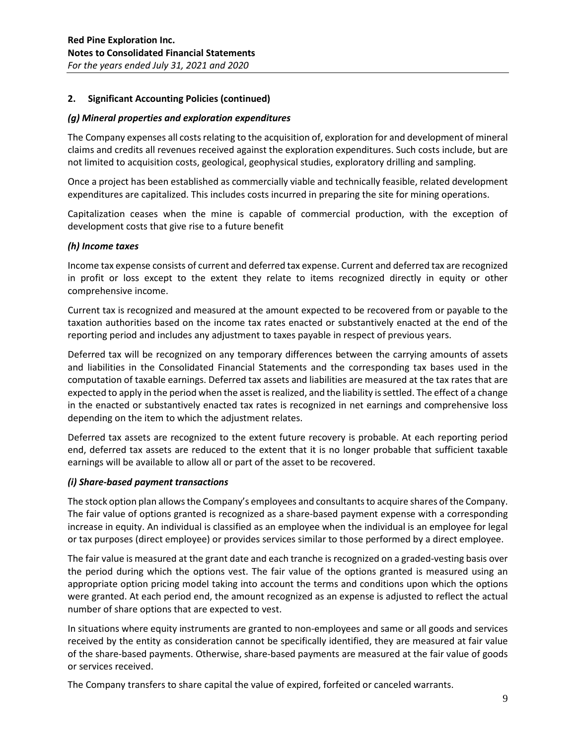## *(g) Mineral properties and exploration expenditures*

The Company expenses all costs relating to the acquisition of, exploration for and development of mineral claims and credits all revenues received against the exploration expenditures. Such costs include, but are not limited to acquisition costs, geological, geophysical studies, exploratory drilling and sampling.

Once a project has been established as commercially viable and technically feasible, related development expenditures are capitalized. This includes costs incurred in preparing the site for mining operations.

Capitalization ceases when the mine is capable of commercial production, with the exception of development costs that give rise to a future benefit

## *(h) Income taxes*

Income tax expense consists of current and deferred tax expense. Current and deferred tax are recognized in profit or loss except to the extent they relate to items recognized directly in equity or other comprehensive income.

Current tax is recognized and measured at the amount expected to be recovered from or payable to the taxation authorities based on the income tax rates enacted or substantively enacted at the end of the reporting period and includes any adjustment to taxes payable in respect of previous years.

Deferred tax will be recognized on any temporary differences between the carrying amounts of assets and liabilities in the Consolidated Financial Statements and the corresponding tax bases used in the computation of taxable earnings. Deferred tax assets and liabilities are measured at the tax rates that are expected to apply in the period when the asset is realized, and the liability is settled. The effect of a change in the enacted or substantively enacted tax rates is recognized in net earnings and comprehensive loss depending on the item to which the adjustment relates.

Deferred tax assets are recognized to the extent future recovery is probable. At each reporting period end, deferred tax assets are reduced to the extent that it is no longer probable that sufficient taxable earnings will be available to allow all or part of the asset to be recovered.

## *(i) Share-based payment transactions*

The stock option plan allows the Company's employees and consultants to acquire shares of the Company. The fair value of options granted is recognized as a share-based payment expense with a corresponding increase in equity. An individual is classified as an employee when the individual is an employee for legal or tax purposes (direct employee) or provides services similar to those performed by a direct employee.

The fair value is measured at the grant date and each tranche is recognized on a graded-vesting basis over the period during which the options vest. The fair value of the options granted is measured using an appropriate option pricing model taking into account the terms and conditions upon which the options were granted. At each period end, the amount recognized as an expense is adjusted to reflect the actual number of share options that are expected to vest.

In situations where equity instruments are granted to non-employees and same or all goods and services received by the entity as consideration cannot be specifically identified, they are measured at fair value of the share-based payments. Otherwise, share-based payments are measured at the fair value of goods or services received.

The Company transfers to share capital the value of expired, forfeited or canceled warrants.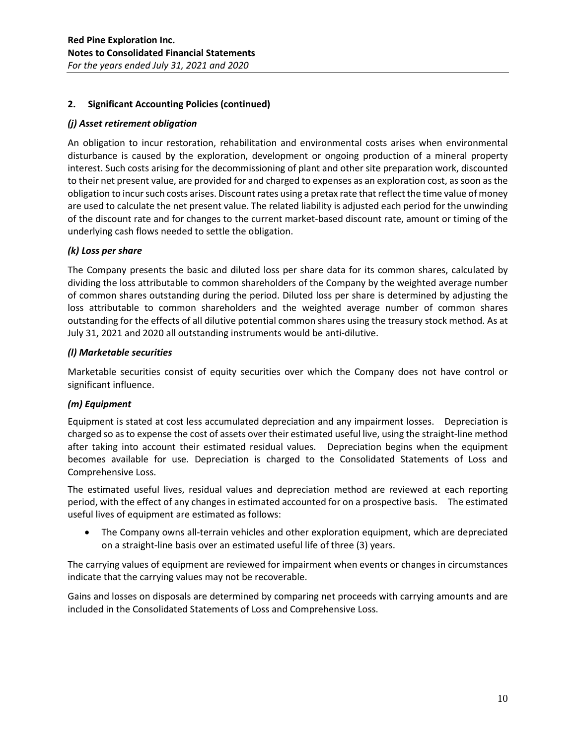## *(j) Asset retirement obligation*

An obligation to incur restoration, rehabilitation and environmental costs arises when environmental disturbance is caused by the exploration, development or ongoing production of a mineral property interest. Such costs arising for the decommissioning of plant and other site preparation work, discounted to their net present value, are provided for and charged to expenses as an exploration cost, as soon as the obligation to incur such costs arises. Discount rates using a pretax rate that reflect the time value of money are used to calculate the net present value. The related liability is adjusted each period for the unwinding of the discount rate and for changes to the current market-based discount rate, amount or timing of the underlying cash flows needed to settle the obligation.

## *(k) Loss per share*

The Company presents the basic and diluted loss per share data for its common shares, calculated by dividing the loss attributable to common shareholders of the Company by the weighted average number of common shares outstanding during the period. Diluted loss per share is determined by adjusting the loss attributable to common shareholders and the weighted average number of common shares outstanding for the effects of all dilutive potential common shares using the treasury stock method. As at July 31, 2021 and 2020 all outstanding instruments would be anti-dilutive.

## *(l) Marketable securities*

Marketable securities consist of equity securities over which the Company does not have control or significant influence.

## *(m) Equipment*

Equipment is stated at cost less accumulated depreciation and any impairment losses. Depreciation is charged so as to expense the cost of assets over their estimated useful live, using the straight-line method after taking into account their estimated residual values. Depreciation begins when the equipment becomes available for use. Depreciation is charged to the Consolidated Statements of Loss and Comprehensive Loss.

The estimated useful lives, residual values and depreciation method are reviewed at each reporting period, with the effect of any changes in estimated accounted for on a prospective basis. The estimated useful lives of equipment are estimated as follows:

 The Company owns all-terrain vehicles and other exploration equipment, which are depreciated on a straight-line basis over an estimated useful life of three (3) years.

The carrying values of equipment are reviewed for impairment when events or changes in circumstances indicate that the carrying values may not be recoverable.

Gains and losses on disposals are determined by comparing net proceeds with carrying amounts and are included in the Consolidated Statements of Loss and Comprehensive Loss.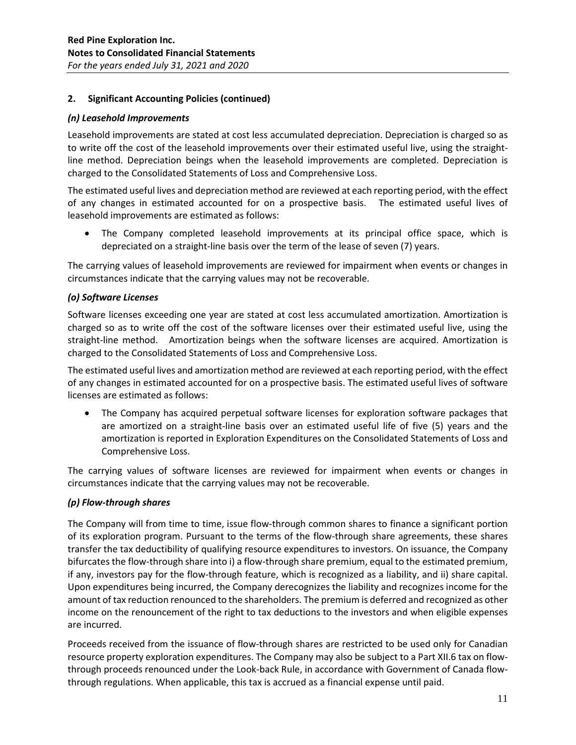## *(n) Leasehold Improvements*

Leasehold improvements are stated at cost less accumulated depreciation. Depreciation is charged so as to write off the cost of the leasehold improvements over their estimated useful live, using the straightline method. Depreciation beings when the leasehold improvements are completed. Depreciation is charged to the Consolidated Statements of Loss and Comprehensive Loss.

The estimated useful lives and depreciation method are reviewed at each reporting period, with the effect of any changes in estimated accounted for on a prospective basis. The estimated useful lives of leasehold improvements are estimated as follows:

 The Company completed leasehold improvements at its principal office space, which is depreciated on a straight-line basis over the term of the lease of seven (7) years.

The carrying values of leasehold improvements are reviewed for impairment when events or changes in circumstances indicate that the carrying values may not be recoverable.

## *(o) Software Licenses*

Software licenses exceeding one year are stated at cost less accumulated amortization. Amortization is charged so as to write off the cost of the software licenses over their estimated useful live, using the straight-line method. Amortization beings when the software licenses are acquired. Amortization is charged to the Consolidated Statements of Loss and Comprehensive Loss.

The estimated useful lives and amortization method are reviewed at each reporting period, with the effect of any changes in estimated accounted for on a prospective basis. The estimated useful lives of software licenses are estimated as follows:

 The Company has acquired perpetual software licenses for exploration software packages that are amortized on a straight-line basis over an estimated useful life of five (5) years and the amortization is reported in Exploration Expenditures on the Consolidated Statements of Loss and Comprehensive Loss.

The carrying values of software licenses are reviewed for impairment when events or changes in circumstances indicate that the carrying values may not be recoverable.

## *(p) Flow-through shares*

The Company will from time to time, issue flow-through common shares to finance a significant portion of its exploration program. Pursuant to the terms of the flow-through share agreements, these shares transfer the tax deductibility of qualifying resource expenditures to investors. On issuance, the Company bifurcates the flow-through share into i) a flow-through share premium, equal to the estimated premium, if any, investors pay for the flow-through feature, which is recognized as a liability, and ii) share capital. Upon expenditures being incurred, the Company derecognizes the liability and recognizes income for the amount of tax reduction renounced to the shareholders. The premium is deferred and recognized as other income on the renouncement of the right to tax deductions to the investors and when eligible expenses are incurred.

Proceeds received from the issuance of flow-through shares are restricted to be used only for Canadian resource property exploration expenditures. The Company may also be subject to a Part XII.6 tax on flowthrough proceeds renounced under the Look-back Rule, in accordance with Government of Canada flowthrough regulations. When applicable, this tax is accrued as a financial expense until paid.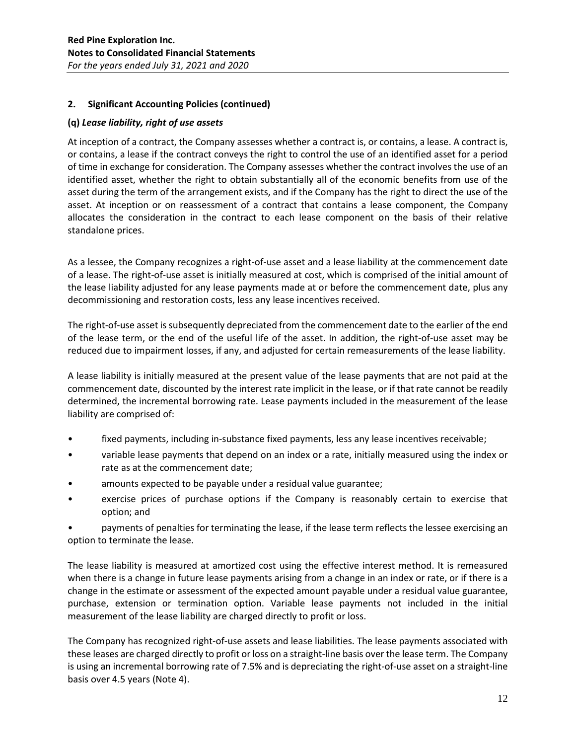## **(q)** *Lease liability, right of use assets*

At inception of a contract, the Company assesses whether a contract is, or contains, a lease. A contract is, or contains, a lease if the contract conveys the right to control the use of an identified asset for a period of time in exchange for consideration. The Company assesses whether the contract involves the use of an identified asset, whether the right to obtain substantially all of the economic benefits from use of the asset during the term of the arrangement exists, and if the Company has the right to direct the use of the asset. At inception or on reassessment of a contract that contains a lease component, the Company allocates the consideration in the contract to each lease component on the basis of their relative standalone prices.

As a lessee, the Company recognizes a right-of-use asset and a lease liability at the commencement date of a lease. The right-of-use asset is initially measured at cost, which is comprised of the initial amount of the lease liability adjusted for any lease payments made at or before the commencement date, plus any decommissioning and restoration costs, less any lease incentives received.

The right-of-use asset is subsequently depreciated from the commencement date to the earlier of the end of the lease term, or the end of the useful life of the asset. In addition, the right-of-use asset may be reduced due to impairment losses, if any, and adjusted for certain remeasurements of the lease liability.

A lease liability is initially measured at the present value of the lease payments that are not paid at the commencement date, discounted by the interest rate implicit in the lease, or if that rate cannot be readily determined, the incremental borrowing rate. Lease payments included in the measurement of the lease liability are comprised of:

- fixed payments, including in-substance fixed payments, less any lease incentives receivable;
- variable lease payments that depend on an index or a rate, initially measured using the index or rate as at the commencement date;
- amounts expected to be payable under a residual value guarantee;
- exercise prices of purchase options if the Company is reasonably certain to exercise that option; and

• payments of penalties for terminating the lease, if the lease term reflects the lessee exercising an option to terminate the lease.

The lease liability is measured at amortized cost using the effective interest method. It is remeasured when there is a change in future lease payments arising from a change in an index or rate, or if there is a change in the estimate or assessment of the expected amount payable under a residual value guarantee, purchase, extension or termination option. Variable lease payments not included in the initial measurement of the lease liability are charged directly to profit or loss.

The Company has recognized right-of-use assets and lease liabilities. The lease payments associated with these leases are charged directly to profit or loss on a straight-line basis over the lease term. The Company is using an incremental borrowing rate of 7.5% and is depreciating the right-of-use asset on a straight-line basis over 4.5 years (Note 4).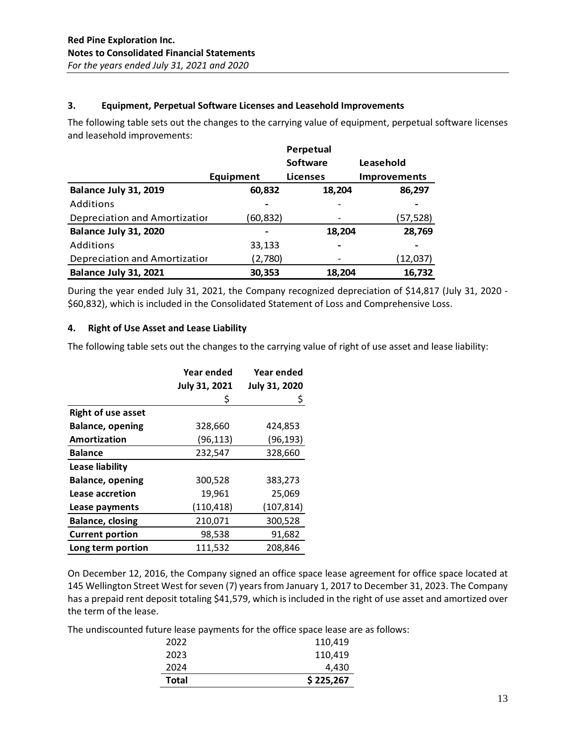#### **3. Equipment, Perpetual Software Licenses and Leasehold Improvements**

The following table sets out the changes to the carrying value of equipment, perpetual software licenses and leasehold improvements:

|                               |           | Perpetual       |                     |
|-------------------------------|-----------|-----------------|---------------------|
|                               |           | <b>Software</b> | Leasehold           |
|                               | Equipment | <b>Licenses</b> | <b>Improvements</b> |
| Balance July 31, 2019         | 60,832    | 18,204          | 86,297              |
| Additions                     |           |                 |                     |
| Depreciation and Amortization | (60, 832) |                 | (57,528)            |
| Balance July 31, 2020         |           | 18,204          | 28,769              |
| Additions                     | 33,133    |                 |                     |
| Depreciation and Amortization | (2,780)   |                 | (12,037)            |
| Balance July 31, 2021         | 30,353    | 18,204          | 16,732              |

During the year ended July 31, 2021, the Company recognized depreciation of \$14,817 (July 31, 2020 - \$60,832), which is included in the Consolidated Statement of Loss and Comprehensive Loss.

## **4. Right of Use Asset and Lease Liability**

The following table sets out the changes to the carrying value of right of use asset and lease liability:

|                           | <b>Year ended</b><br>July 31, 2021<br>Ş | <b>Year ended</b><br><b>July 31, 2020</b> |
|---------------------------|-----------------------------------------|-------------------------------------------|
| <b>Right of use asset</b> |                                         |                                           |
| <b>Balance, opening</b>   | 328,660                                 | 424,853                                   |
| <b>Amortization</b>       | (96, 113)                               | (96, 193)                                 |
| <b>Balance</b>            | 232,547                                 | 328,660                                   |
| Lease liability           |                                         |                                           |
| <b>Balance, opening</b>   | 300,528                                 | 383,273                                   |
| Lease accretion           | 19,961                                  | 25,069                                    |
| Lease payments            | (110, 418)                              | (107, 814)                                |
| <b>Balance, closing</b>   | 210,071                                 | 300,528                                   |
| <b>Current portion</b>    | 98,538                                  | 91,682                                    |
| Long term portion         | 111,532                                 | 208,846                                   |

On December 12, 2016, the Company signed an office space lease agreement for office space located at 145 Wellington Street West for seven (7) years from January 1, 2017 to December 31, 2023. The Company has a prepaid rent deposit totaling \$41,579, which is included in the right of use asset and amortized over the term of the lease.

The undiscounted future lease payments for the office space lease are as follows:

| <b>Total</b> | \$225,267 |
|--------------|-----------|
| 2024         | 4,430     |
| 2023         | 110,419   |
| 2022         | 110,419   |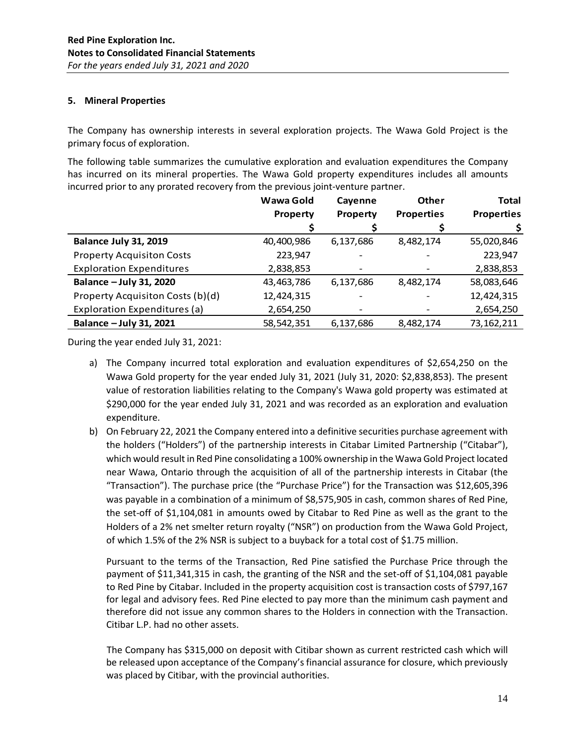## **5. Mineral Properties**

The Company has ownership interests in several exploration projects. The Wawa Gold Project is the primary focus of exploration.

The following table summarizes the cumulative exploration and evaluation expenditures the Company has incurred on its mineral properties. The Wawa Gold property expenditures includes all amounts incurred prior to any prorated recovery from the previous joint-venture partner.

|                                  | Wawa Gold       | Cayenne         | Other             | <b>Total</b>      |
|----------------------------------|-----------------|-----------------|-------------------|-------------------|
|                                  | <b>Property</b> | <b>Property</b> | <b>Properties</b> | <b>Properties</b> |
|                                  |                 |                 |                   |                   |
| Balance July 31, 2019            | 40,400,986      | 6,137,686       | 8,482,174         | 55,020,846        |
| <b>Property Acquisiton Costs</b> | 223,947         |                 |                   | 223,947           |
| <b>Exploration Expenditures</b>  | 2,838,853       | -               |                   | 2,838,853         |
| Balance - July 31, 2020          | 43,463,786      | 6,137,686       | 8,482,174         | 58,083,646        |
| Property Acquisiton Costs (b)(d) | 12,424,315      |                 |                   | 12,424,315        |
| Exploration Expenditures (a)     | 2,654,250       | -               |                   | 2,654,250         |
| Balance - July 31, 2021          | 58,542,351      | 6,137,686       | 8,482,174         | 73, 162, 211      |

During the year ended July 31, 2021:

- a) The Company incurred total exploration and evaluation expenditures of \$2,654,250 on the Wawa Gold property for the year ended July 31, 2021 (July 31, 2020: \$2,838,853). The present value of restoration liabilities relating to the Company's Wawa gold property was estimated at \$290,000 for the year ended July 31, 2021 and was recorded as an exploration and evaluation expenditure.
- b) On February 22, 2021 the Company entered into a definitive securities purchase agreement with the holders ("Holders") of the partnership interests in Citabar Limited Partnership ("Citabar"), which would result in Red Pine consolidating a 100% ownership in the Wawa Gold Project located near Wawa, Ontario through the acquisition of all of the partnership interests in Citabar (the "Transaction"). The purchase price (the "Purchase Price") for the Transaction was \$12,605,396 was payable in a combination of a minimum of \$8,575,905 in cash, common shares of Red Pine, the set-off of \$1,104,081 in amounts owed by Citabar to Red Pine as well as the grant to the Holders of a 2% net smelter return royalty ("NSR") on production from the Wawa Gold Project, of which 1.5% of the 2% NSR is subject to a buyback for a total cost of \$1.75 million.

Pursuant to the terms of the Transaction, Red Pine satisfied the Purchase Price through the payment of \$11,341,315 in cash, the granting of the NSR and the set-off of \$1,104,081 payable to Red Pine by Citabar. Included in the property acquisition cost is transaction costs of \$797,167 for legal and advisory fees. Red Pine elected to pay more than the minimum cash payment and therefore did not issue any common shares to the Holders in connection with the Transaction. Citibar L.P. had no other assets.

The Company has \$315,000 on deposit with Citibar shown as current restricted cash which will be released upon acceptance of the Company's financial assurance for closure, which previously was placed by Citibar, with the provincial authorities.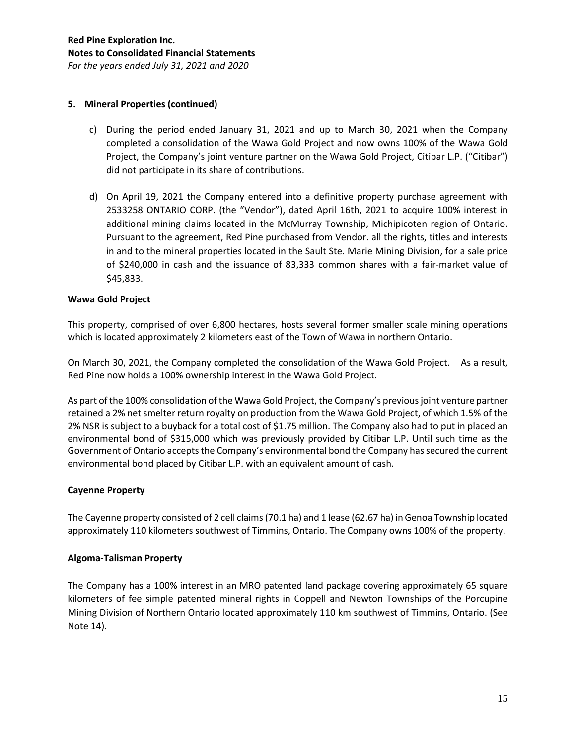## **5. Mineral Properties (continued)**

- c) During the period ended January 31, 2021 and up to March 30, 2021 when the Company completed a consolidation of the Wawa Gold Project and now owns 100% of the Wawa Gold Project, the Company's joint venture partner on the Wawa Gold Project, Citibar L.P. ("Citibar") did not participate in its share of contributions.
- d) On April 19, 2021 the Company entered into a definitive property purchase agreement with 2533258 ONTARIO CORP. (the "Vendor"), dated April 16th, 2021 to acquire 100% interest in additional mining claims located in the McMurray Township, Michipicoten region of Ontario. Pursuant to the agreement, Red Pine purchased from Vendor. all the rights, titles and interests in and to the mineral properties located in the Sault Ste. Marie Mining Division, for a sale price of \$240,000 in cash and the issuance of 83,333 common shares with a fair-market value of \$45,833.

## **Wawa Gold Project**

This property, comprised of over 6,800 hectares, hosts several former smaller scale mining operations which is located approximately 2 kilometers east of the Town of Wawa in northern Ontario.

On March 30, 2021, the Company completed the consolidation of the Wawa Gold Project. As a result, Red Pine now holds a 100% ownership interest in the Wawa Gold Project.

As part of the 100% consolidation of the Wawa Gold Project, the Company's previous joint venture partner retained a 2% net smelter return royalty on production from the Wawa Gold Project, of which 1.5% of the 2% NSR is subject to a buyback for a total cost of \$1.75 million. The Company also had to put in placed an environmental bond of \$315,000 which was previously provided by Citibar L.P. Until such time as the Government of Ontario accepts the Company's environmental bond the Company has secured the current environmental bond placed by Citibar L.P. with an equivalent amount of cash.

## **Cayenne Property**

The Cayenne property consisted of 2 cell claims (70.1 ha) and 1 lease (62.67 ha) in Genoa Township located approximately 110 kilometers southwest of Timmins, Ontario. The Company owns 100% of the property.

## **Algoma-Talisman Property**

The Company has a 100% interest in an MRO patented land package covering approximately 65 square kilometers of fee simple patented mineral rights in Coppell and Newton Townships of the Porcupine Mining Division of Northern Ontario located approximately 110 km southwest of Timmins, Ontario. (See Note 14).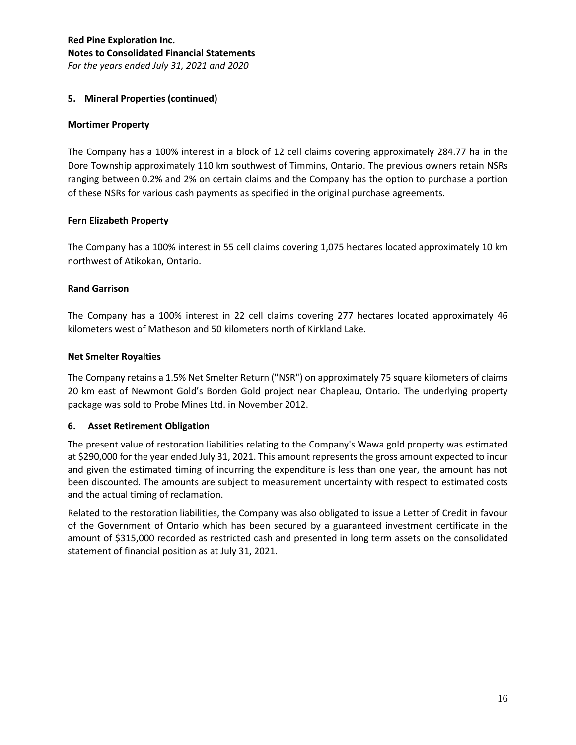## **5. Mineral Properties (continued)**

#### **Mortimer Property**

The Company has a 100% interest in a block of 12 cell claims covering approximately 284.77 ha in the Dore Township approximately 110 km southwest of Timmins, Ontario. The previous owners retain NSRs ranging between 0.2% and 2% on certain claims and the Company has the option to purchase a portion of these NSRs for various cash payments as specified in the original purchase agreements.

## **Fern Elizabeth Property**

The Company has a 100% interest in 55 cell claims covering 1,075 hectares located approximately 10 km northwest of Atikokan, Ontario.

#### **Rand Garrison**

The Company has a 100% interest in 22 cell claims covering 277 hectares located approximately 46 kilometers west of Matheson and 50 kilometers north of Kirkland Lake.

#### **Net Smelter Royalties**

The Company retains a 1.5% Net Smelter Return ("NSR") on approximately 75 square kilometers of claims 20 km east of Newmont Gold's Borden Gold project near Chapleau, Ontario. The underlying property package was sold to Probe Mines Ltd. in November 2012.

## **6. Asset Retirement Obligation**

The present value of restoration liabilities relating to the Company's Wawa gold property was estimated at \$290,000 for the year ended July 31, 2021. This amount represents the gross amount expected to incur and given the estimated timing of incurring the expenditure is less than one year, the amount has not been discounted. The amounts are subject to measurement uncertainty with respect to estimated costs and the actual timing of reclamation.

Related to the restoration liabilities, the Company was also obligated to issue a Letter of Credit in favour of the Government of Ontario which has been secured by a guaranteed investment certificate in the amount of \$315,000 recorded as restricted cash and presented in long term assets on the consolidated statement of financial position as at July 31, 2021.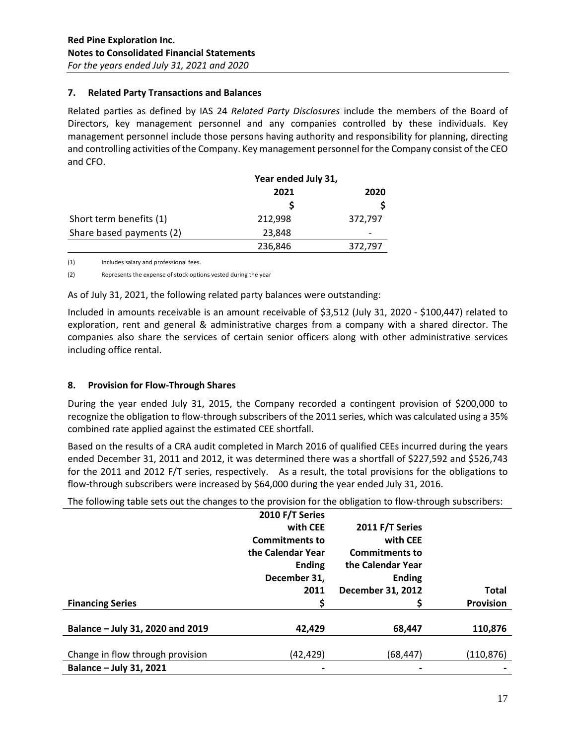## **7. Related Party Transactions and Balances**

Related parties as defined by IAS 24 *Related Party Disclosures* include the members of the Board of Directors, key management personnel and any companies controlled by these individuals. Key management personnel include those persons having authority and responsibility for planning, directing and controlling activities of the Company. Key management personnel for the Company consist of the CEO and CFO.

|                          | Year ended July 31, |         |  |
|--------------------------|---------------------|---------|--|
|                          | 2021                | 2020    |  |
|                          |                     |         |  |
| Short term benefits (1)  | 212,998             | 372,797 |  |
| Share based payments (2) | 23,848              |         |  |
|                          | 236,846             | 372,797 |  |

(1) Includes salary and professional fees.

(2) Represents the expense of stock options vested during the year

As of July 31, 2021, the following related party balances were outstanding:

Included in amounts receivable is an amount receivable of \$3,512 (July 31, 2020 - \$100,447) related to exploration, rent and general & administrative charges from a company with a shared director. The companies also share the services of certain senior officers along with other administrative services including office rental.

## **8. Provision for Flow-Through Shares**

During the year ended July 31, 2015, the Company recorded a contingent provision of \$200,000 to recognize the obligation to flow-through subscribers of the 2011 series, which was calculated using a 35% combined rate applied against the estimated CEE shortfall.

Based on the results of a CRA audit completed in March 2016 of qualified CEEs incurred during the years ended December 31, 2011 and 2012, it was determined there was a shortfall of \$227,592 and \$526,743 for the 2011 and 2012 F/T series, respectively. As a result, the total provisions for the obligations to flow-through subscribers were increased by \$64,000 during the year ended July 31, 2016.

The following table sets out the changes to the provision for the obligation to flow-through subscribers:

|                                  | 2010 F/T Series       |                       |                  |
|----------------------------------|-----------------------|-----------------------|------------------|
|                                  | with CEE              | 2011 F/T Series       |                  |
|                                  | <b>Commitments to</b> | with CEE              |                  |
|                                  | the Calendar Year     | <b>Commitments to</b> |                  |
|                                  | <b>Ending</b>         | the Calendar Year     |                  |
|                                  | December 31,          | <b>Ending</b>         |                  |
|                                  | 2011                  | December 31, 2012     | Total            |
| <b>Financing Series</b>          | Ś                     |                       | <b>Provision</b> |
|                                  |                       |                       |                  |
| Balance - July 31, 2020 and 2019 | 42,429                | 68,447                | 110,876          |
|                                  |                       |                       |                  |
| Change in flow through provision | (42, 429)             | (68,447)              | (110, 876)       |
| Balance - July 31, 2021          |                       |                       |                  |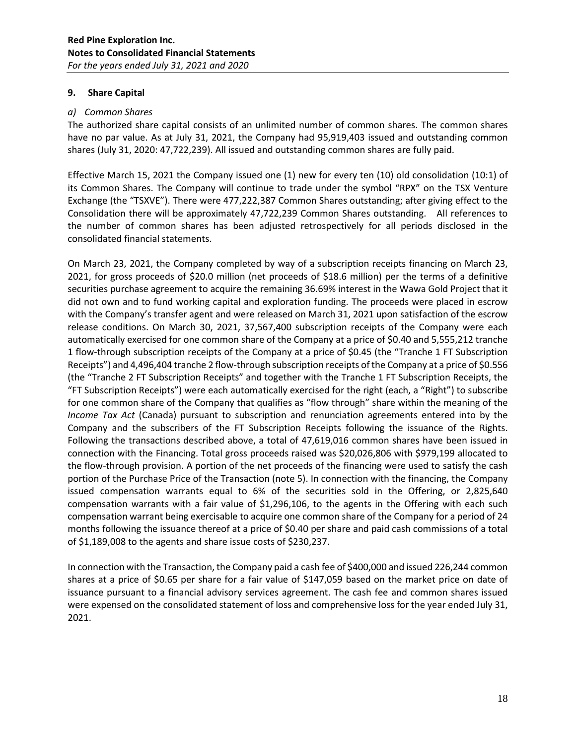## **9. Share Capital**

#### *a) Common Shares*

The authorized share capital consists of an unlimited number of common shares. The common shares have no par value. As at July 31, 2021, the Company had 95,919,403 issued and outstanding common shares (July 31, 2020: 47,722,239). All issued and outstanding common shares are fully paid.

Effective March 15, 2021 the Company issued one (1) new for every ten (10) old consolidation (10:1) of its Common Shares. The Company will continue to trade under the symbol "RPX" on the TSX Venture Exchange (the "TSXVE"). There were 477,222,387 Common Shares outstanding; after giving effect to the Consolidation there will be approximately 47,722,239 Common Shares outstanding. All references to the number of common shares has been adjusted retrospectively for all periods disclosed in the consolidated financial statements.

On March 23, 2021, the Company completed by way of a subscription receipts financing on March 23, 2021, for gross proceeds of \$20.0 million (net proceeds of \$18.6 million) per the terms of a definitive securities purchase agreement to acquire the remaining 36.69% interest in the Wawa Gold Project that it did not own and to fund working capital and exploration funding. The proceeds were placed in escrow with the Company's transfer agent and were released on March 31, 2021 upon satisfaction of the escrow release conditions. On March 30, 2021, 37,567,400 subscription receipts of the Company were each automatically exercised for one common share of the Company at a price of \$0.40 and 5,555,212 tranche 1 flow-through subscription receipts of the Company at a price of \$0.45 (the "Tranche 1 FT Subscription Receipts") and 4,496,404 tranche 2 flow-through subscription receipts of the Company at a price of \$0.556 (the "Tranche 2 FT Subscription Receipts" and together with the Tranche 1 FT Subscription Receipts, the "FT Subscription Receipts") were each automatically exercised for the right (each, a "Right") to subscribe for one common share of the Company that qualifies as "flow through" share within the meaning of the *Income Tax Act* (Canada) pursuant to subscription and renunciation agreements entered into by the Company and the subscribers of the FT Subscription Receipts following the issuance of the Rights. Following the transactions described above, a total of 47,619,016 common shares have been issued in connection with the Financing. Total gross proceeds raised was \$20,026,806 with \$979,199 allocated to the flow-through provision. A portion of the net proceeds of the financing were used to satisfy the cash portion of the Purchase Price of the Transaction (note 5). In connection with the financing, the Company issued compensation warrants equal to 6% of the securities sold in the Offering, or 2,825,640 compensation warrants with a fair value of \$1,296,106, to the agents in the Offering with each such compensation warrant being exercisable to acquire one common share of the Company for a period of 24 months following the issuance thereof at a price of \$0.40 per share and paid cash commissions of a total of \$1,189,008 to the agents and share issue costs of \$230,237.

In connection with the Transaction, the Company paid a cash fee of \$400,000 and issued 226,244 common shares at a price of \$0.65 per share for a fair value of \$147,059 based on the market price on date of issuance pursuant to a financial advisory services agreement. The cash fee and common shares issued were expensed on the consolidated statement of loss and comprehensive loss for the year ended July 31, 2021.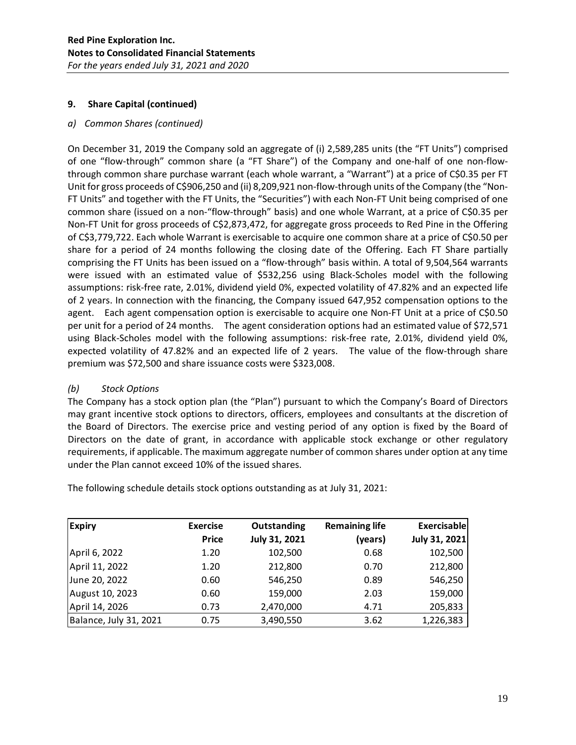## **9. Share Capital (continued)**

*a) Common Shares (continued)* 

On December 31, 2019 the Company sold an aggregate of (i) 2,589,285 units (the "FT Units") comprised of one "flow-through" common share (a "FT Share") of the Company and one-half of one non-flowthrough common share purchase warrant (each whole warrant, a "Warrant") at a price of C\$0.35 per FT Unit for gross proceeds of C\$906,250 and (ii) 8,209,921 non-flow-through units of the Company (the "Non-FT Units" and together with the FT Units, the "Securities") with each Non-FT Unit being comprised of one common share (issued on a non-"flow-through" basis) and one whole Warrant, at a price of C\$0.35 per Non-FT Unit for gross proceeds of C\$2,873,472, for aggregate gross proceeds to Red Pine in the Offering of C\$3,779,722. Each whole Warrant is exercisable to acquire one common share at a price of C\$0.50 per share for a period of 24 months following the closing date of the Offering. Each FT Share partially comprising the FT Units has been issued on a "flow-through" basis within. A total of 9,504,564 warrants were issued with an estimated value of \$532,256 using Black-Scholes model with the following assumptions: risk-free rate, 2.01%, dividend yield 0%, expected volatility of 47.82% and an expected life of 2 years. In connection with the financing, the Company issued 647,952 compensation options to the agent. Each agent compensation option is exercisable to acquire one Non-FT Unit at a price of C\$0.50 per unit for a period of 24 months. The agent consideration options had an estimated value of \$72,571 using Black-Scholes model with the following assumptions: risk-free rate, 2.01%, dividend yield 0%, expected volatility of 47.82% and an expected life of 2 years. The value of the flow-through share premium was \$72,500 and share issuance costs were \$323,008.

## *(b) Stock Options*

The Company has a stock option plan (the "Plan") pursuant to which the Company's Board of Directors may grant incentive stock options to directors, officers, employees and consultants at the discretion of the Board of Directors. The exercise price and vesting period of any option is fixed by the Board of Directors on the date of grant, in accordance with applicable stock exchange or other regulatory requirements, if applicable. The maximum aggregate number of common shares under option at any time under the Plan cannot exceed 10% of the issued shares.

The following schedule details stock options outstanding as at July 31, 2021:

| <b>Expiry</b>          | <b>Exercise</b> | Outstanding   | <b>Remaining life</b> | Exercisable   |
|------------------------|-----------------|---------------|-----------------------|---------------|
|                        | <b>Price</b>    | July 31, 2021 | (years)               | July 31, 2021 |
| April 6, 2022          | 1.20            | 102,500       | 0.68                  | 102,500       |
| April 11, 2022         | 1.20            | 212,800       | 0.70                  | 212,800       |
| June 20, 2022          | 0.60            | 546,250       | 0.89                  | 546,250       |
| August 10, 2023        | 0.60            | 159,000       | 2.03                  | 159,000       |
| April 14, 2026         | 0.73            | 2,470,000     | 4.71                  | 205,833       |
| Balance, July 31, 2021 | 0.75            | 3,490,550     | 3.62                  | 1,226,383     |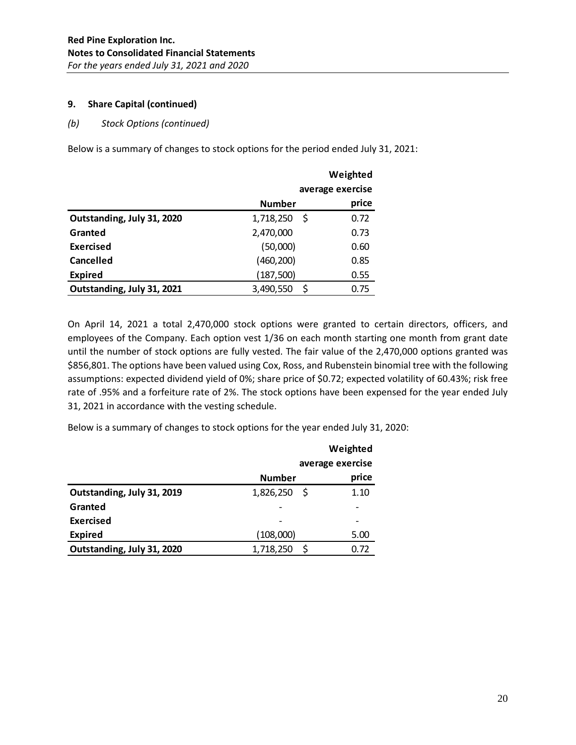## **9. Share Capital (continued)**

#### *(b) Stock Options (continued)*

Below is a summary of changes to stock options for the period ended July 31, 2021:

|                            |                 | Weighted         |
|----------------------------|-----------------|------------------|
|                            |                 | average exercise |
|                            | <b>Number</b>   | price            |
| Outstanding, July 31, 2020 | 1,718,250<br>-S | 0.72             |
| Granted                    | 2,470,000       | 0.73             |
| <b>Exercised</b>           | (50,000)        | 0.60             |
| Cancelled                  | (460, 200)      | 0.85             |
| <b>Expired</b>             | (187,500)       | 0.55             |
| Outstanding, July 31, 2021 | 3,490,550<br>\$ | 0.75             |

On April 14, 2021 a total 2,470,000 stock options were granted to certain directors, officers, and employees of the Company. Each option vest 1/36 on each month starting one month from grant date until the number of stock options are fully vested. The fair value of the 2,470,000 options granted was \$856,801. The options have been valued using Cox, Ross, and Rubenstein binomial tree with the following assumptions: expected dividend yield of 0%; share price of \$0.72; expected volatility of 60.43%; risk free rate of .95% and a forfeiture rate of 2%. The stock options have been expensed for the year ended July 31, 2021 in accordance with the vesting schedule.

Below is a summary of changes to stock options for the year ended July 31, 2020:

|                            |                | Weighted         |
|----------------------------|----------------|------------------|
|                            |                | average exercise |
|                            | Number         | price            |
| Outstanding, July 31, 2019 | 1,826,250<br>S | 1.10             |
| Granted                    |                | -                |
| <b>Exercised</b>           |                |                  |
| <b>Expired</b>             | (108,000)      | 5.00             |
| Outstanding, July 31, 2020 | 1,718,250<br>S | 0.72             |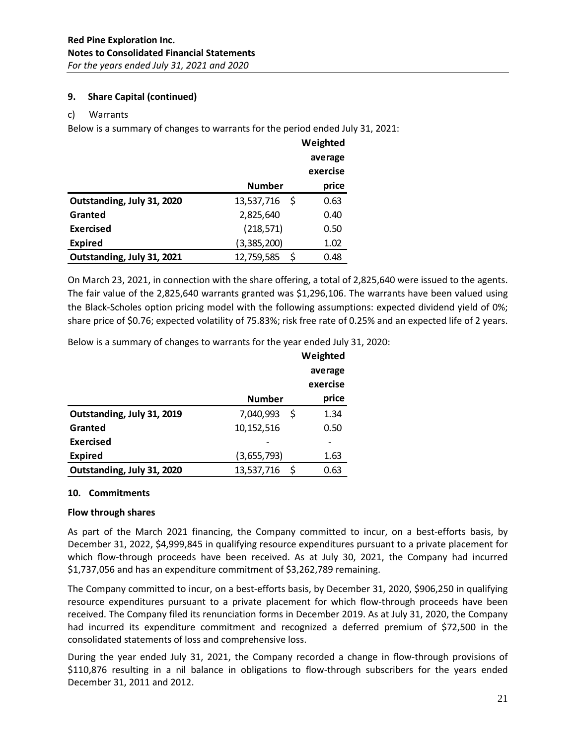## **9. Share Capital (continued)**

## c) Warrants

Below is a summary of changes to warrants for the period ended July 31, 2021:

|                            |                  | Weighted<br>average<br>exercise |
|----------------------------|------------------|---------------------------------|
|                            | <b>Number</b>    | price                           |
| Outstanding, July 31, 2020 | 13,537,716<br>S  | 0.63                            |
| Granted                    | 2,825,640        | 0.40                            |
| <b>Exercised</b>           | (218, 571)       | 0.50                            |
| <b>Expired</b>             | (3,385,200)      | 1.02                            |
| Outstanding, July 31, 2021 | \$<br>12,759,585 | 0.48                            |

On March 23, 2021, in connection with the share offering, a total of 2,825,640 were issued to the agents. The fair value of the 2,825,640 warrants granted was \$1,296,106. The warrants have been valued using the Black-Scholes option pricing model with the following assumptions: expected dividend yield of 0%; share price of \$0.76; expected volatility of 75.83%; risk free rate of 0.25% and an expected life of 2 years.

Below is a summary of changes to warrants for the year ended July 31, 2020:

|                            |                 | Weighted<br>average |
|----------------------------|-----------------|---------------------|
|                            |                 | exercise            |
|                            | <b>Number</b>   | price               |
| Outstanding, July 31, 2019 | 7,040,993<br>S  | 1.34                |
| Granted                    | 10,152,516      | 0.50                |
| <b>Exercised</b>           |                 |                     |
| <b>Expired</b>             | (3,655,793)     | 1.63                |
| Outstanding, July 31, 2020 | 13,537,716<br>Ś | 0.63                |

## **10. Commitments**

## **Flow through shares**

As part of the March 2021 financing, the Company committed to incur, on a best-efforts basis, by December 31, 2022, \$4,999,845 in qualifying resource expenditures pursuant to a private placement for which flow-through proceeds have been received. As at July 30, 2021, the Company had incurred \$1,737,056 and has an expenditure commitment of \$3,262,789 remaining.

The Company committed to incur, on a best-efforts basis, by December 31, 2020, \$906,250 in qualifying resource expenditures pursuant to a private placement for which flow-through proceeds have been received. The Company filed its renunciation forms in December 2019. As at July 31, 2020, the Company had incurred its expenditure commitment and recognized a deferred premium of \$72,500 in the consolidated statements of loss and comprehensive loss.

During the year ended July 31, 2021, the Company recorded a change in flow-through provisions of \$110,876 resulting in a nil balance in obligations to flow-through subscribers for the years ended December 31, 2011 and 2012.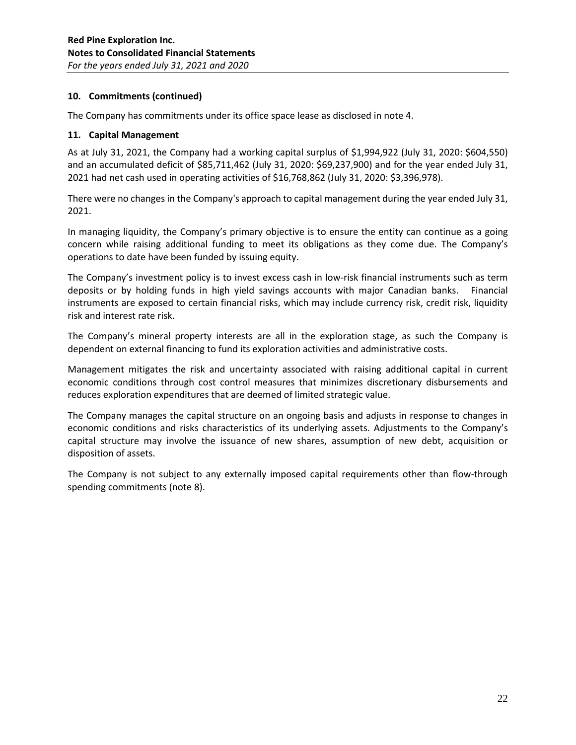## **10. Commitments (continued)**

The Company has commitments under its office space lease as disclosed in note 4.

#### **11. Capital Management**

As at July 31, 2021, the Company had a working capital surplus of \$1,994,922 (July 31, 2020: \$604,550) and an accumulated deficit of \$85,711,462 (July 31, 2020: \$69,237,900) and for the year ended July 31, 2021 had net cash used in operating activities of \$16,768,862 (July 31, 2020: \$3,396,978).

There were no changes in the Company's approach to capital management during the year ended July 31, 2021.

In managing liquidity, the Company's primary objective is to ensure the entity can continue as a going concern while raising additional funding to meet its obligations as they come due. The Company's operations to date have been funded by issuing equity.

The Company's investment policy is to invest excess cash in low-risk financial instruments such as term deposits or by holding funds in high yield savings accounts with major Canadian banks. Financial instruments are exposed to certain financial risks, which may include currency risk, credit risk, liquidity risk and interest rate risk.

The Company's mineral property interests are all in the exploration stage, as such the Company is dependent on external financing to fund its exploration activities and administrative costs.

Management mitigates the risk and uncertainty associated with raising additional capital in current economic conditions through cost control measures that minimizes discretionary disbursements and reduces exploration expenditures that are deemed of limited strategic value.

The Company manages the capital structure on an ongoing basis and adjusts in response to changes in economic conditions and risks characteristics of its underlying assets. Adjustments to the Company's capital structure may involve the issuance of new shares, assumption of new debt, acquisition or disposition of assets.

The Company is not subject to any externally imposed capital requirements other than flow-through spending commitments (note 8).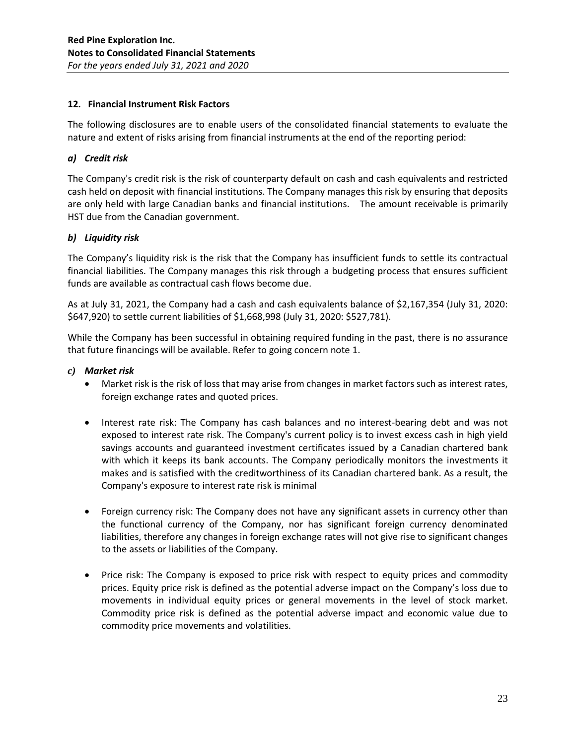## **12. Financial Instrument Risk Factors**

The following disclosures are to enable users of the consolidated financial statements to evaluate the nature and extent of risks arising from financial instruments at the end of the reporting period:

## *a) Credit risk*

The Company's credit risk is the risk of counterparty default on cash and cash equivalents and restricted cash held on deposit with financial institutions. The Company manages this risk by ensuring that deposits are only held with large Canadian banks and financial institutions. The amount receivable is primarily HST due from the Canadian government.

## *b) Liquidity risk*

The Company's liquidity risk is the risk that the Company has insufficient funds to settle its contractual financial liabilities. The Company manages this risk through a budgeting process that ensures sufficient funds are available as contractual cash flows become due.

As at July 31, 2021, the Company had a cash and cash equivalents balance of \$2,167,354 (July 31, 2020: \$647,920) to settle current liabilities of \$1,668,998 (July 31, 2020: \$527,781).

While the Company has been successful in obtaining required funding in the past, there is no assurance that future financings will be available. Refer to going concern note 1.

#### *c) Market risk*

- Market risk is the risk of loss that may arise from changes in market factors such as interest rates, foreign exchange rates and quoted prices.
- Interest rate risk: The Company has cash balances and no interest-bearing debt and was not exposed to interest rate risk. The Company's current policy is to invest excess cash in high yield savings accounts and guaranteed investment certificates issued by a Canadian chartered bank with which it keeps its bank accounts. The Company periodically monitors the investments it makes and is satisfied with the creditworthiness of its Canadian chartered bank. As a result, the Company's exposure to interest rate risk is minimal
- Foreign currency risk: The Company does not have any significant assets in currency other than the functional currency of the Company, nor has significant foreign currency denominated liabilities, therefore any changes in foreign exchange rates will not give rise to significant changes to the assets or liabilities of the Company.
- Price risk: The Company is exposed to price risk with respect to equity prices and commodity prices. Equity price risk is defined as the potential adverse impact on the Company's loss due to movements in individual equity prices or general movements in the level of stock market. Commodity price risk is defined as the potential adverse impact and economic value due to commodity price movements and volatilities.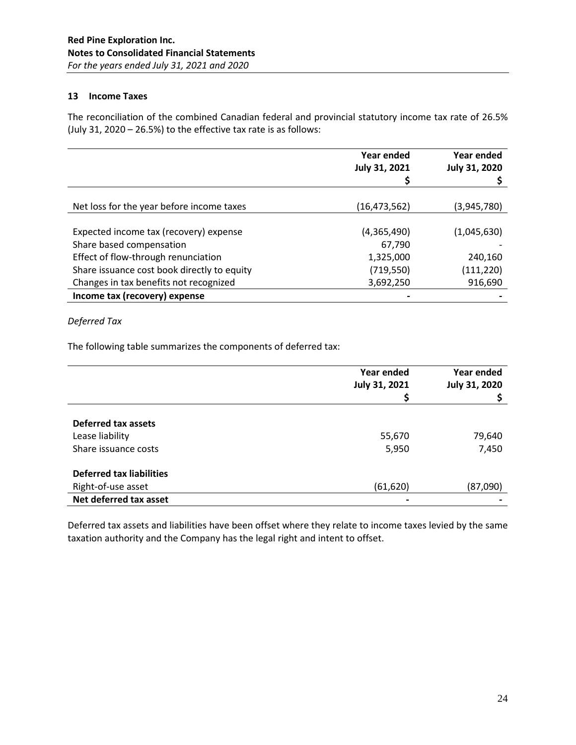## **13 Income Taxes**

The reconciliation of the combined Canadian federal and provincial statutory income tax rate of 26.5% (July 31, 2020 – 26.5%) to the effective tax rate is as follows:

|                                                                                       | Year ended<br>July 31, 2021 | Year ended<br><b>July 31, 2020</b> |
|---------------------------------------------------------------------------------------|-----------------------------|------------------------------------|
|                                                                                       |                             |                                    |
| Net loss for the year before income taxes                                             | (16, 473, 562)              | (3,945,780)                        |
| Expected income tax (recovery) expense                                                | (4,365,490)                 | (1,045,630)                        |
| Share based compensation<br>Effect of flow-through renunciation                       | 67,790<br>1,325,000         | 240,160                            |
| Share issuance cost book directly to equity<br>Changes in tax benefits not recognized | (719, 550)<br>3,692,250     | (111, 220)<br>916,690              |
| Income tax (recovery) expense                                                         |                             |                                    |

## *Deferred Tax*

The following table summarizes the components of deferred tax:

|                                                                | Year ended<br>July 31, 2021 | Year ended<br><b>July 31, 2020</b> |
|----------------------------------------------------------------|-----------------------------|------------------------------------|
|                                                                |                             |                                    |
| Deferred tax assets<br>Lease liability<br>Share issuance costs | 55,670<br>5,950             | 79,640<br>7,450                    |
| <b>Deferred tax liabilities</b>                                |                             |                                    |
| Right-of-use asset                                             | (61, 620)                   | (87,090)                           |
| Net deferred tax asset                                         | ۰                           |                                    |

Deferred tax assets and liabilities have been offset where they relate to income taxes levied by the same taxation authority and the Company has the legal right and intent to offset.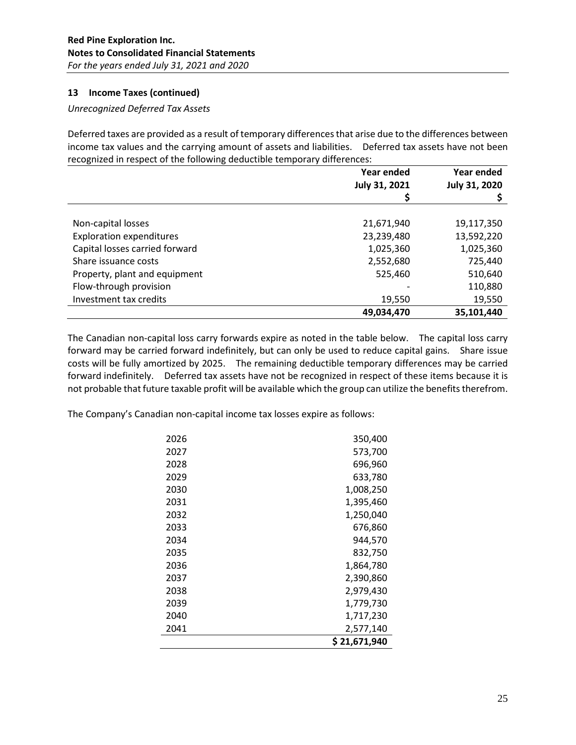## **13 Income Taxes (continued)**

## *Unrecognized Deferred Tax Assets*

Deferred taxes are provided as a result of temporary differences that arise due to the differences between income tax values and the carrying amount of assets and liabilities. Deferred tax assets have not been recognized in respect of the following deductible temporary differences:

|                                 | Year ended<br><b>July 31, 2021</b> | Year ended<br>July 31, 2020 |
|---------------------------------|------------------------------------|-----------------------------|
|                                 | S                                  |                             |
|                                 |                                    |                             |
| Non-capital losses              | 21,671,940                         | 19,117,350                  |
| <b>Exploration expenditures</b> | 23,239,480                         | 13,592,220                  |
| Capital losses carried forward  | 1,025,360                          | 1,025,360                   |
| Share issuance costs            | 2,552,680                          | 725,440                     |
| Property, plant and equipment   | 525,460                            | 510,640                     |
| Flow-through provision          |                                    | 110,880                     |
| Investment tax credits          | 19,550                             | 19,550                      |
|                                 | 49,034,470                         | 35,101,440                  |

The Canadian non-capital loss carry forwards expire as noted in the table below. The capital loss carry forward may be carried forward indefinitely, but can only be used to reduce capital gains. Share issue costs will be fully amortized by 2025. The remaining deductible temporary differences may be carried forward indefinitely. Deferred tax assets have not be recognized in respect of these items because it is not probable that future taxable profit will be available which the group can utilize the benefits therefrom.

The Company's Canadian non-capital income tax losses expire as follows:

| 2026 | 350,400      |
|------|--------------|
| 2027 | 573,700      |
| 2028 | 696,960      |
| 2029 | 633,780      |
| 2030 | 1,008,250    |
| 2031 | 1,395,460    |
| 2032 | 1,250,040    |
| 2033 | 676,860      |
| 2034 | 944,570      |
| 2035 | 832,750      |
| 2036 | 1,864,780    |
| 2037 | 2,390,860    |
| 2038 | 2,979,430    |
| 2039 | 1,779,730    |
| 2040 | 1,717,230    |
| 2041 | 2,577,140    |
|      | \$21.671.940 |